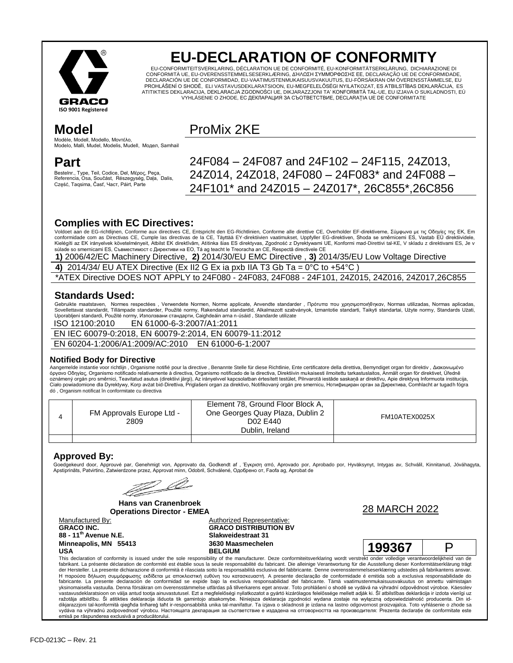

# **EU-DECLARATION OF CONFORMITY**

EU-CONFORMITEITSVERKLARING, DÉCLARATION UE DE CONFORMITÉ, EU-KONFORMITÄTSERKLÄRUNG, DICHIARAZIONE DI CONFORMITÀ UE, EU-OVERENSSTEMMELSESERKLÆRING, ΔΉΛΩΣΗ ΣΥΜΜΌΡΦΩΣΗΣ ΕΕ, DECLARAÇÃO UE DE CONFORMIDADE, DECLARACIÓN UE DE CONFORMIDAD, EU-VAATIMUSTENMUKAISUUSVAKUUTUS, EU-FÖRSÄKRAN OM ÖVERENSSTÄMMELSE, EU PROHLÁŠENÍ O SHODĚ, ELI VASTAVUSDEKLARATSIOON, EU-MEGFELELŐSÉGI NYILATKOZAT, ES ATBILSTĪBAS DEKLARĀCIJA, ES ATITIKTIES DEKLARACIJA, DEKLARACJA ZGODNOŚCI UE, DIKJARAZZJONI TA' KONFORMITÀ TAL-UE, EU IZJAVA O SUKLADNOSTI, EÚ VYHLÁSENIE O ZHODE, ЕС ДЕКЛАРАЦИЯ ЗА СЪОТВЕТСТВИЕ, DECLARAȚIA UE DE CONFORMITATE

## **Model**

Modèle, Modell, Modello, Μοντέλο, Modelo, Malli, Mudel, Modelis, Mudell, Модел, Samhail

### **Part**

Bestelnr., Type, Teil, Codice, Del, Μέρος, Peça, Referencia, Osa, Součást, Részegység, Daļa, Dalis, Część, Taqsima, Časť, Част, Páirt, Parte

## ProMix 2KE

24F084 – 24F087 and 24F102 – 24F115, 24Z013, 24Z014, 24Z018, 24F080 – 24F083\* and 24F088 – 24F101\* and 24Z015 – 24Z017\*, 26C855\*,26C856

### **Complies with EC Directives:**

Voldoet aan de EG-richtlijnen, Conforme aux directives CE, Entspricht den EG-Richtlinien, Conforme alle direttive CE, Overholder EF-direktiverne, Σύμφωνα με τις Οδηγίες της ΕΚ, Em conformidade com as Directivas CE, Cumple las directivas de la CE, Täyttää EY-direktiiven vaatimukset, Uppfyller EG-direktiven, Shoda se směrnicemi ES, Vastab EÜ direktiividele,<br>Kielégíti az EK irányelvek követelményeit, A súlade so smernicami ES, Съвместимост с Директиви на ЕО, Tá ag teacht le Treoracha an CE, Respectă directivele CE

**1)** 2006/42/EC Machinery Directive, **2)** 2014/30/EU EMC Directive , **3)** 2014/35/EU Low Voltage Directive

**4)** 2014/34/ EU ATEX Directive (Ex II2 G Ex ia pxb IIA T3 Gb Ta = 0°C to +54°C )

\*ATEX Directive DOES NOT APPLY to 24F080 - 24F083, 24F088 - 24F101, 24Z015, 24Z016, 24Z017,26C855

### **Standards Used:**

Gebruikte maatstaven, Normes respectées , Verwendete Normen, Norme applicate, Anvendte standarder , Πρότυπα που χρησιμοποιήθηκαν, Normas utilizadas, Normas aplicadas,<br>Sovellettavat standardit, Tillämpade standarder, Použi Uporabljeni standardi, Použité normy, Използвани стандарти, Caighdeáin arna n-úsáid , Standarde utilizate

ISO 12100:2010 EN 61000-6-3:2007/A1:2011

EN IEC 60079-0:2018, EN 60079-2:2014, EN 60079-11:2012 EN 60204-1:2006/A1:2009/AC:2010 EN 61000-6-1:2007

#### **Notified Body for Directive**

Aangemelde instantie voor richtlijn , Organisme notifié pour la directive , Benannte Stelle für diese Richtlinie, Ente certificatore della direttiva, Bemyndiget organ for direktiv , Διακοινωμένο όργανο Οδηγίας, Organismo notificado relativamente à directiva, Organismo notificado de la directiva, Direktiivin mukaisesti ilmoitettu tarkastuslaitos, Anmält organ för direktivet, Úředně oznámený orgán pro směrnici, Teavitatud asutus (direktiivi järgi), Az irányelvvel kapcsolatban értesített testület, Pilnvarotā iestāde saskaņā ar direktīvu, Apie direktyvą Informuota institucija,<br>Ciało powiadomione dla Dy dó , Organism notificat în conformitate cu directiva

| FM Approvals Europe Ltd -<br>2809 | Element 78, Ground Floor Block A,<br>One Georges Quay Plaza, Dublin 2<br>D02 E440<br>Dublin, Ireland | FM10ATEX0025X |
|-----------------------------------|------------------------------------------------------------------------------------------------------|---------------|
|                                   |                                                                                                      |               |

#### **Approved By:**

Goedgekeurd door, Approuvé par, Genehmigt von, Approvato da, Godkendt af , Έγκριση από, Aprovado por, Aprobado por, Hyväksynyt, Intygas av, Schválil, Kinnitanud, Jóváhagyta,<br>Apstiprināts, Patvirtino, Zatwierdzone przez, A

Ø

**Hans van Cranenbroek**

**GRACO INC.**

**88 - 11th Avenue N.E. Minneapolis, MN 55413 USA**

Authorized Representative: **GRACO DISTRIBUTION BV Slakweidestraat 31**

**Operations Director - EMEA**<br>Manufactured By: **Operations Director - EMEA**<br>Authorized Representative:

| 3630 Maasmechelen<br><b>BELGIUM</b> | 199367 |  |
|-------------------------------------|--------|--|
|-------------------------------------|--------|--|

This declaration of conformity is issued under the sole responsibility of the manufacturer. Deze conformiteitsverklaring wordt verstrekt onder volledige verantwoordelijkheid van de fabrikant. La présente déclaration de conformité est établie sous la seule responsabilité du fabricant. Die alleinige Verantwortung für die Ausstellung dieser Konformitätserklärung trägt der Hersteller. La presente dichiarazione di conformità è rilasciata sotto la responsabilità esclusiva del fabbricante. Denne overensstemmelseserklæring udstedes på fabrikantens ansvar. Η παρούσα δήλωση συμμόρφωσης εκδίδεται με αποκλειστική ευθύνη του κατασκευαστή. A presente declaração de conformidade é emitida sob a exclusiva responsabilidade do<br>fabricante. La presente declaración de conformidad se exp yksinomaisella vastuulla. Denna försäkran om överensstämmelse utfärdas på tillverkarens eget ansvar. Toto prohlášení o shodě se vydává na výhradní odpovědnost výrobce. Käesolev vastavusdeklaratsioon on välja antud tootja ainuvastutusel. Ezt a megfelelőségi nyilatkozatot a gyártó kizárólagos felelőssége mellett adják ki. Sī atbilstības deklarācija ir izdota vienīgi uz<br>ražotāja atbildību. Ši atit dikjarazzjoni tal-konformità qiegħda tinħareġ taħt ir-responsabbiltà unika tal-manifattur. Ta izjava o skladnosti je izdana na lastno odgovornost proizvajalca. Toto vyhlásenie o zhode sa vydáva na výhradnú zodpovednosť výrobcu. Настоящата декларация за съответствие е издадена на отговорността на производителя: Prezenta declarație de conformitate este emisă pe răspunderea exclusivă a producătorului.